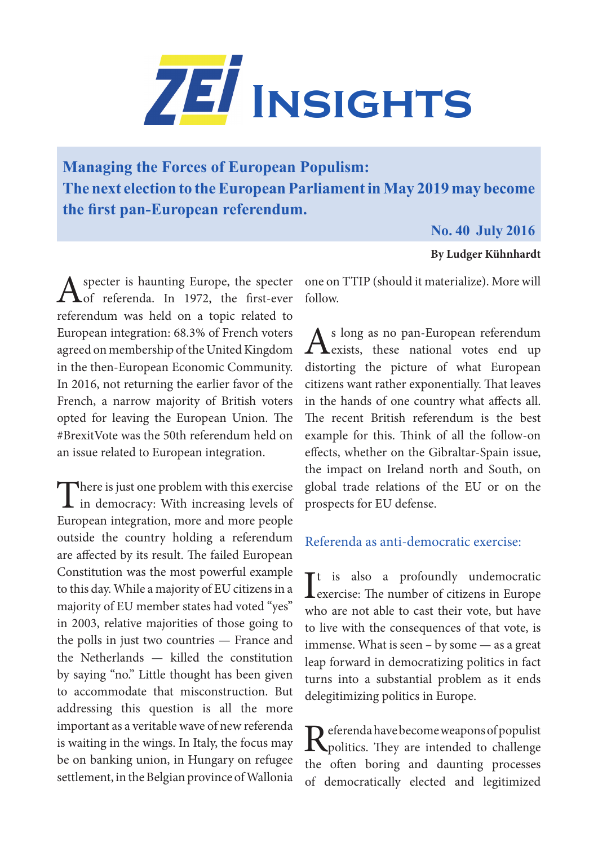

**Managing the Forces of European Populism: The next election to the European Parliament in May 2019 may become the first pan-European referendum.**

 **No. 40 July 2016**

## **By Ludger Kühnhardt**

specter is haunting Europe, the specter of referenda. In 1972, the first-ever referendum was held on a topic related to European integration: 68.3% of French voters agreed on membership of the United Kingdom in the then-European Economic Community. In 2016, not returning the earlier favor of the French, a narrow majority of British voters opted for leaving the European Union. The #BrexitVote was the 50th referendum held on an issue related to European integration.

There is just one problem with this exercise<br>in democracy: With increasing levels of European integration, more and more people outside the country holding a referendum are affected by its result. The failed European Constitution was the most powerful example to this day. While a majority of EU citizens in a majority of EU member states had voted "yes" in 2003, relative majorities of those going to the polls in just two countries — France and the Netherlands — killed the constitution by saying "no." Little thought has been given to accommodate that misconstruction. But addressing this question is all the more important as a veritable wave of new referenda is waiting in the wings. In Italy, the focus may be on banking union, in Hungary on refugee settlement, in the Belgian province of Wallonia one on TTIP (should it materialize). More will follow.

As long as no pan-European referendum<br>
exists, these national votes end up distorting the picture of what European citizens want rather exponentially. That leaves in the hands of one country what affects all. The recent British referendum is the best example for this. Think of all the follow-on effects, whether on the Gibraltar-Spain issue, the impact on Ireland north and South, on global trade relations of the EU or on the prospects for EU defense.

## Referenda as anti-democratic exercise:

It is also a profoundly undemocratic<br>exercise: The number of citizens in Europe Tt is also a profoundly undemocratic who are not able to cast their vote, but have to live with the consequences of that vote, is immense. What is seen – by some — as a great leap forward in democratizing politics in fact turns into a substantial problem as it ends delegitimizing politics in Europe.

Referenda have become weapons of populist<br>politics. They are intended to challenge the often boring and daunting processes of democratically elected and legitimized